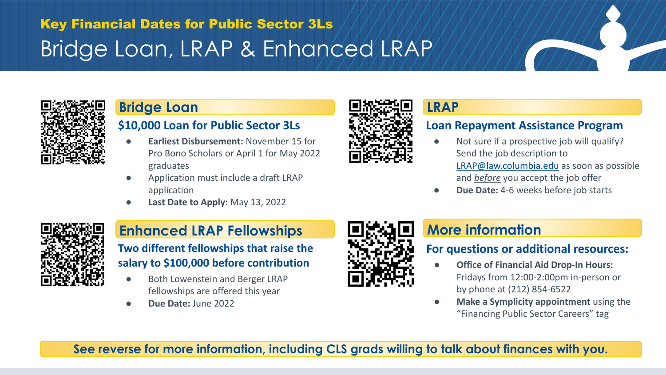# Bridge Loan, LRAP & Enhanced LRAP Key Financial Dates for Public Sector 3Ls



### **\$10,000 Loan for Public Sector 3Ls**

- **Earliest Disbursement: November 15 for** Pro Bono Scholars or April 1 for May 2022 graduates
- Application must include a draft LRAP application
- **● Last Date to Apply:** May 13, 2022



## **Enhanced LRAP Fellowships BERAP More information**

### **Two different fellowships that raise the salary to \$100,000 before contribution**

- Both Lowenstein and Berger LRAP fellowships are offered this year
- **● Due Date:** June 2022



### **Loan Repayment Assistance Program**

- Not sure if a prospective job will qualify? Send the job description to [LRAP@law.columbia.edu](mailto:LRAP@law.columbia.edu) as soon as possible and *before* you accept the job offer
- **Due Date:** 4-6 weeks before job starts



### **For questions or additional resources:**

- **Office of Financial Aid Drop-In Hours:** Fridays from 12:00-2:00pm in-person or by phone at (212) 854-6522
- **Make a Symplicity appointment** using the "Financing Public Sector Careers" tag

**See reverse for more information, including CLS grads willing to talk about finances with you.**